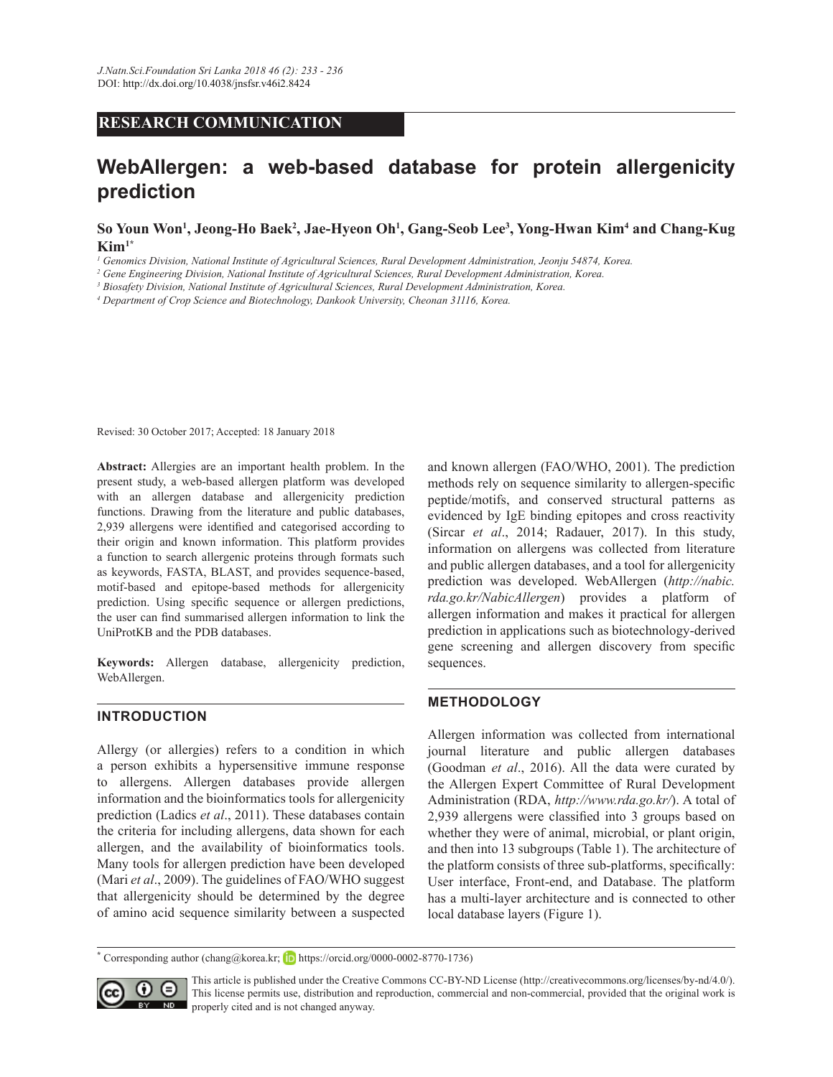# **RESEARCH COMMUNICATION**

# **WebAllergen: a web-based database for protein allergenicity prediction**

 $\mathbf{S}\text{o}$  Youn Won<sup>1</sup>, Jeong-Ho Baek<sup>2</sup>, Jae-Hyeon Oh<sup>1</sup>, Gang-Seob Lee<sup>3</sup>, Yong-Hwan Kim<sup>4</sup> and Chang-Kug **Kim1\***

*1 Genomics Division, National Institute of Agricultural Sciences, Rural Development Administration, Jeonju 54874, Korea.*

*2 Gene Engineering Division, National Institute of Agricultural Sciences, Rural Development Administration, Korea.*

*3 Biosafety Division, National Institute of Agricultural Sciences, Rural Development Administration, Korea.*

*4 Department of Crop Science and Biotechnology, Dankook University, Cheonan 31116, Korea.*

Revised: 30 October 2017; Accepted: 18 January 2018

**Abstract:** Allergies are an important health problem. In the present study, a web-based allergen platform was developed with an allergen database and allergenicity prediction functions. Drawing from the literature and public databases, 2,939 allergens were identified and categorised according to their origin and known information. This platform provides a function to search allergenic proteins through formats such as keywords, FASTA, BLAST, and provides sequence-based, motif-based and epitope-based methods for allergenicity prediction. Using specific sequence or allergen predictions, the user can find summarised allergen information to link the UniProtKB and the PDB databases.

**Keywords:** Allergen database, allergenicity prediction, WebAllergen.

#### **INTRODUCTION**

Allergy (or allergies) refers to a condition in which a person exhibits a hypersensitive immune response to allergens. Allergen databases provide allergen information and the bioinformatics tools for allergenicity prediction (Ladics *et al*., 2011). These databases contain the criteria for including allergens, data shown for each allergen, and the availability of bioinformatics tools. Many tools for allergen prediction have been developed (Mari et al., 2009). The guidelines of FAO/WHO suggest that allergenicity should be determined by the degree of amino acid sequence similarity between a suspected

and known allergen (FAO/WHO, 2001). The prediction methods rely on sequence similarity to allergen-specific peptide/motifs, and conserved structural patterns as evidenced by IgE binding epitopes and cross reactivity (Sircar *et al*., 2014; Radauer, 2017). In this study, information on allergens was collected from literature and public allergen databases, and a tool for allergenicity prediction was developed. WebAllergen (http://nabic. *rda.go.kr/NabicAllergen*) provides a platform of allergen information and makes it practical for allergen prediction in applications such as biotechnology-derived gene screening and allergen discovery from specific sequences.

#### **METHODOLOGY**

Allergen information was collected from international journal literature and public allergen databases (Goodman et al., 2016). All the data were curated by the Allergen Expert Committee of Rural Development Administration (RDA, *http://www.rda.go.kr/*). A total of 2,939 allergens were classified into 3 groups based on whether they were of animal, microbial, or plant origin, and then into 13 subgroups (Table 1). The architecture of the platform consists of three sub-platforms, specifically: User interface, Front-end, and Database. The platform has a multi-layer architecture and is connected to other local database layers (Figure 1).

**<sup>\*</sup>** Corresponding author (chang@korea.kr; D https://orcid.org/0000-0002-8770-1736)



This article is published under the Creative Commons CC-BY-ND License (http://creativecommons.org/licenses/by-nd/4.0/). This license permits use, distribution and reproduction, commercial and non-commercial, provided that the original work is ND properly cited and is not changed anyway.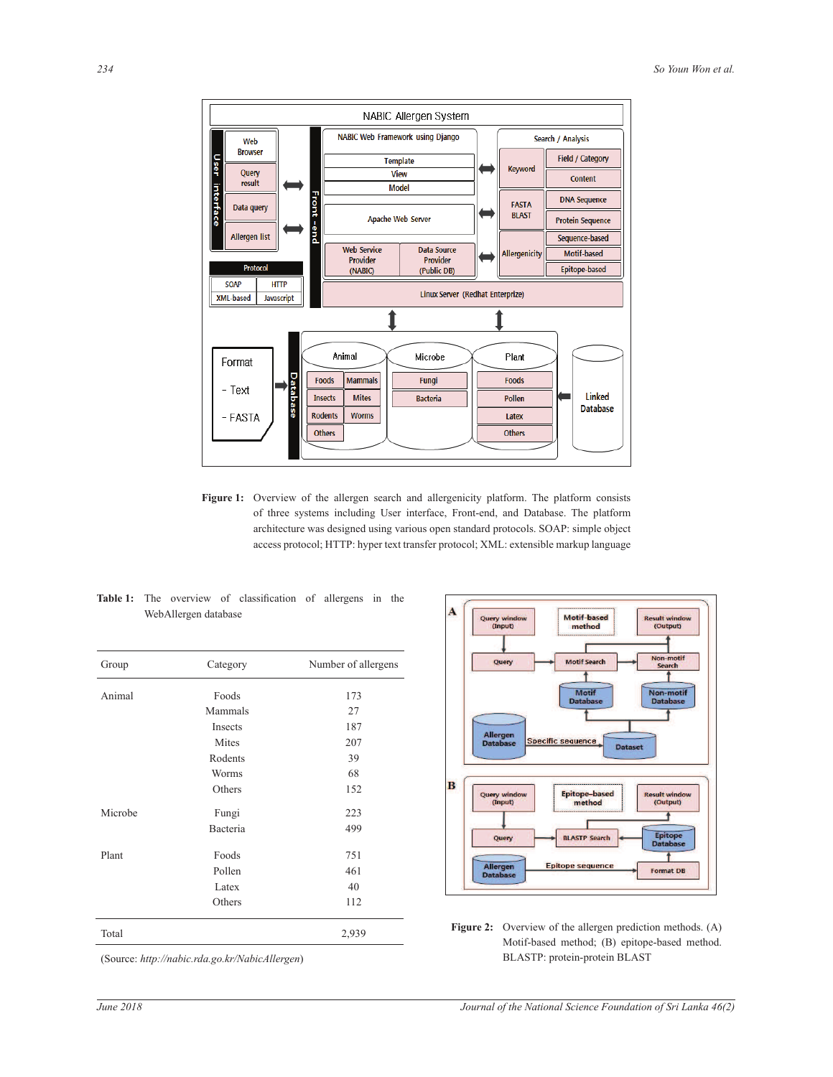

architecture was designed using various open standard protocols. SOAP: simple object Figure 1: Overview of the allergen search and allergenicity platform. The platform consists of three systems including User interface, Front-end, and Database. The platform access protocol; HTTP: hyper text transfer protocol; XML: extensible markup language

|  |                      | <b>Table 1:</b> The overview of classification of allergens in the |  |  |
|--|----------------------|--------------------------------------------------------------------|--|--|
|  | WebAllergen database |                                                                    |  |  |

| Group   | Category | Number of allergens |  |  |
|---------|----------|---------------------|--|--|
| Animal  | Foods    | 173                 |  |  |
|         | Mammals  | 27                  |  |  |
|         | Insects  | 187                 |  |  |
|         | Mites    | 207                 |  |  |
|         | Rodents  | 39                  |  |  |
|         | Worms    | 68                  |  |  |
|         | Others   | 152                 |  |  |
| Microbe | Fungi    | 223                 |  |  |
|         | Bacteria | 499                 |  |  |
| Plant   | Foods    | 751                 |  |  |
|         | Pollen   | 461                 |  |  |
|         | Latex    | 40                  |  |  |
|         | Others   | 112                 |  |  |
| Total   |          | 2,939               |  |  |



Figure 2: Overview of the allergen prediction methods. (A) Motif-based method; (B) epitope-based method. BLASTP: protein-protein BLAST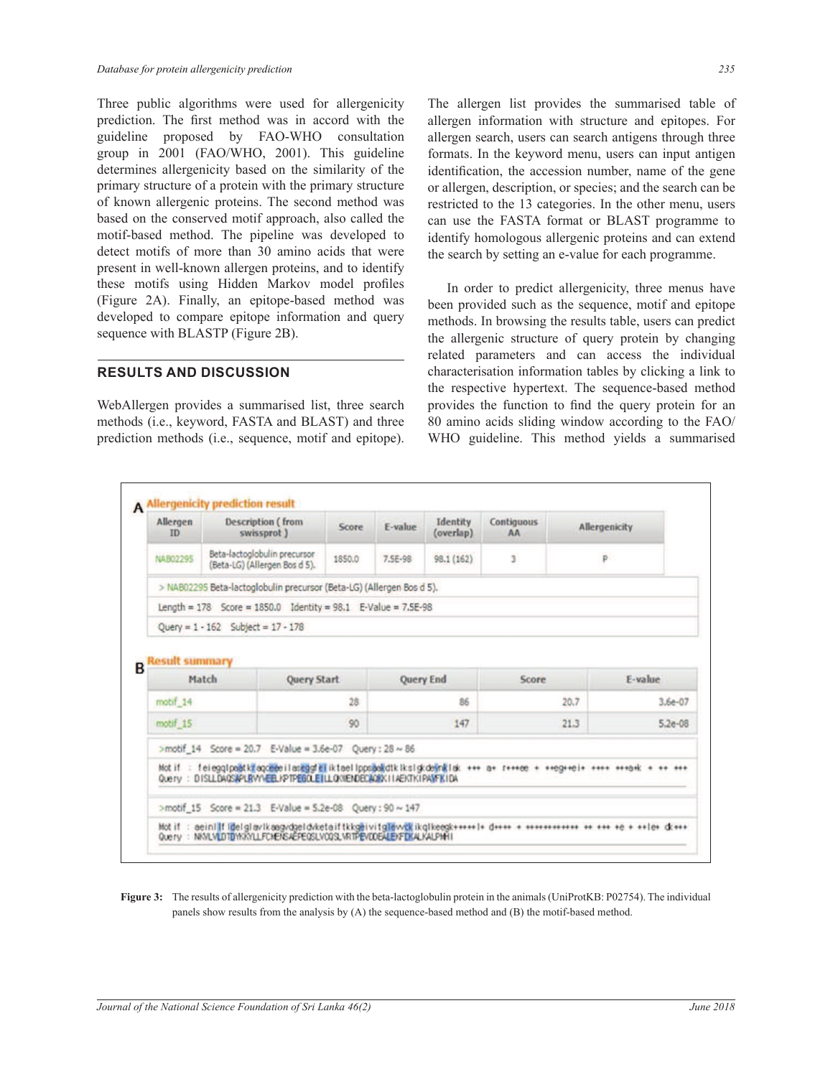Three public algorithms were used for allergenicity prediction. The first method was in accord with the guideline proposed by FAO-WHO consultation group in 2001 (FAO/WHO, 2001). This guideline determines allergenicity based on the similarity of the primary structure of a protein with the primary structure of known allergenic proteins. The second method was based on the conserved motif approach, also called the motif-based method. The pipeline was developed to detect motifs of more than 30 amino acids that were present in well-known allergen proteins, and to identify these motifs using Hidden Markov model profiles (Figure 2A). Finally, an epitope-based method was developed to compare epitope information and query sequence with BLASTP (Figure 2B).

#### **RESULTS AND DISCUSSION**

WebAllergen provides a summarised list, three search methods (i.e., keyword, FASTA and BLAST) and three prediction methods (i.e., sequence, motif and epitope). The allergen list provides the summarised table of allergen information with structure and epitopes. For allergen search, users can search antigens through three formats. In the keyword menu, users can input antigen identification, the accession number, name of the gene or allergen, description, or species; and the search can be restricted to the 13 categories. In the other menu, users can use the FASTA format or BLAST programme to identify homologous allergenic proteins and can extend the search by setting an e-value for each programme.

 In order to predict allergenicity, three menus have been provided such as the sequence, motif and epitope methods. In browsing the results table, users can predict the allergenic structure of query protein by changing related parameters and can access the individual characterisation information tables by clicking a link to the respective hypertext. The sequence-based method provides the function to find the query protein for an 80 amino acids sliding window according to the FAO/ WHO guideline. This method yields a summarised

| <b>Allergen</b><br>ID | <b>Description</b> (from<br>swissprot)                                                                              | Score              | E-value          | Identity<br>(overlap) | Contiguous<br><b>AA</b> |      | <b>Allergenicity</b> |
|-----------------------|---------------------------------------------------------------------------------------------------------------------|--------------------|------------------|-----------------------|-------------------------|------|----------------------|
| NAB02295              | Beta-lactoglobulin precursor<br>(Beta-LG) (Allergen Bos d 5).                                                       | 1850.0             | 7.5E-98          | 98.1 (162)            | 3                       |      | Þ                    |
|                       | > NAB02295 Beta-lactoglobulin precursor (Beta-LG) (Allergen Bos d 5).                                               |                    |                  |                       |                         |      |                      |
|                       | Length = $178$ Score = $1850.0$ Identity = $98.1$ E-Value = $7.5E-98$                                               |                    |                  |                       |                         |      |                      |
|                       | Query = $1 - 162$ Subject = $17 - 178$                                                                              |                    |                  |                       |                         |      |                      |
|                       |                                                                                                                     |                    |                  |                       |                         |      |                      |
|                       | Match                                                                                                               | <b>Query Start</b> | <b>Query End</b> |                       | Score                   |      | E-value              |
| motif <sub>14</sub>   |                                                                                                                     | 28                 |                  | 86                    |                         | 20.7 | $3.6e-07$            |
| motif 15              |                                                                                                                     | 90                 |                  | 147                   |                         | 21.3 | $5.2e-08$            |
|                       | >motif 14 Score = 20.7 E-Value = 3.6e-07 Query : 28 ~ 86                                                            |                    |                  |                       |                         |      |                      |
|                       | Motif : feieggipaätkiragomee ilasagoraliktaelippsäakotkiksigkdeänklisk +++ a+ r+++ee + ++eg++ei+ ++++ +++e+ +++ +++ |                    |                  |                       |                         |      |                      |
|                       | Overy: DISLLDAOSAPLRVYVEEL/PTPEGOLETILLOXIENDECAORX/IAEKTKIPANFKIDA                                                 |                    |                  |                       |                         |      |                      |
|                       | >motif 15 Score = 21.3 E-Value = 5.2e-08 Query : 90 ~ 147                                                           |                    |                  |                       |                         |      |                      |

**Figure 3:** The results of allergenicity prediction with the beta-lactoglobulin protein in the animals (UniProtKB: P02754). The individual panels show results from the analysis by  $(A)$  the sequence-based method and  $(B)$  the motif-based method.